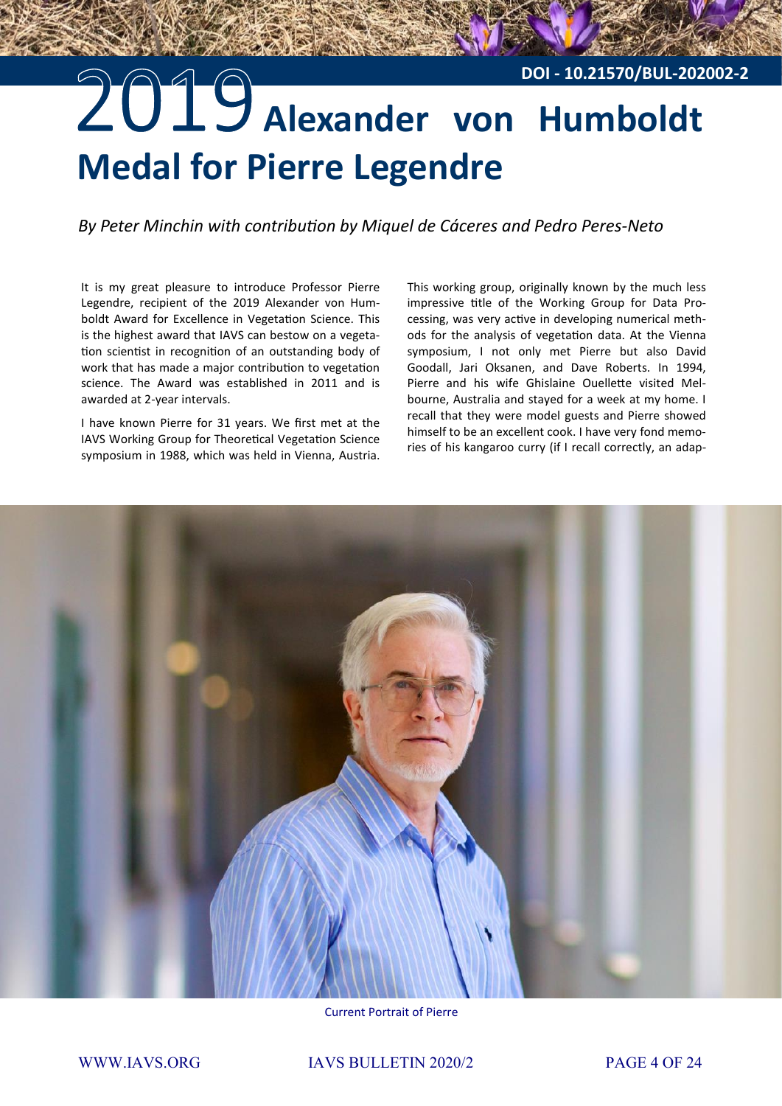## 2019 Alexander von Humboldt **Medal for Pierre Legendre DOI - 10.21570/BUL-202002-2**

*By Peter Minchin with contribution by Miquel de Cáceres and Pedro Peres-Neto*

It is my great pleasure to introduce Professor Pierre Legendre, recipient of the 2019 Alexander von Humboldt Award for Excellence in Vegetation Science. This is the highest award that IAVS can bestow on a vegetation scientist in recognition of an outstanding body of work that has made a major contribution to vegetation science. The Award was established in 2011 and is awarded at 2-year intervals.

I have known Pierre for 31 years. We first met at the IAVS Working Group for Theoretical Vegetation Science symposium in 1988, which was held in Vienna, Austria.

This working group, originally known by the much less impressive title of the Working Group for Data Processing, was very active in developing numerical methods for the analysis of vegetation data. At the Vienna symposium, I not only met Pierre but also David Goodall, Jari Oksanen, and Dave Roberts. In 1994, Pierre and his wife Ghislaine Ouellette visited Melbourne, Australia and stayed for a week at my home. I recall that they were model guests and Pierre showed himself to be an excellent cook. I have very fond memories of his kangaroo curry (if I recall correctly, an adap-



Current Portrait of Pierre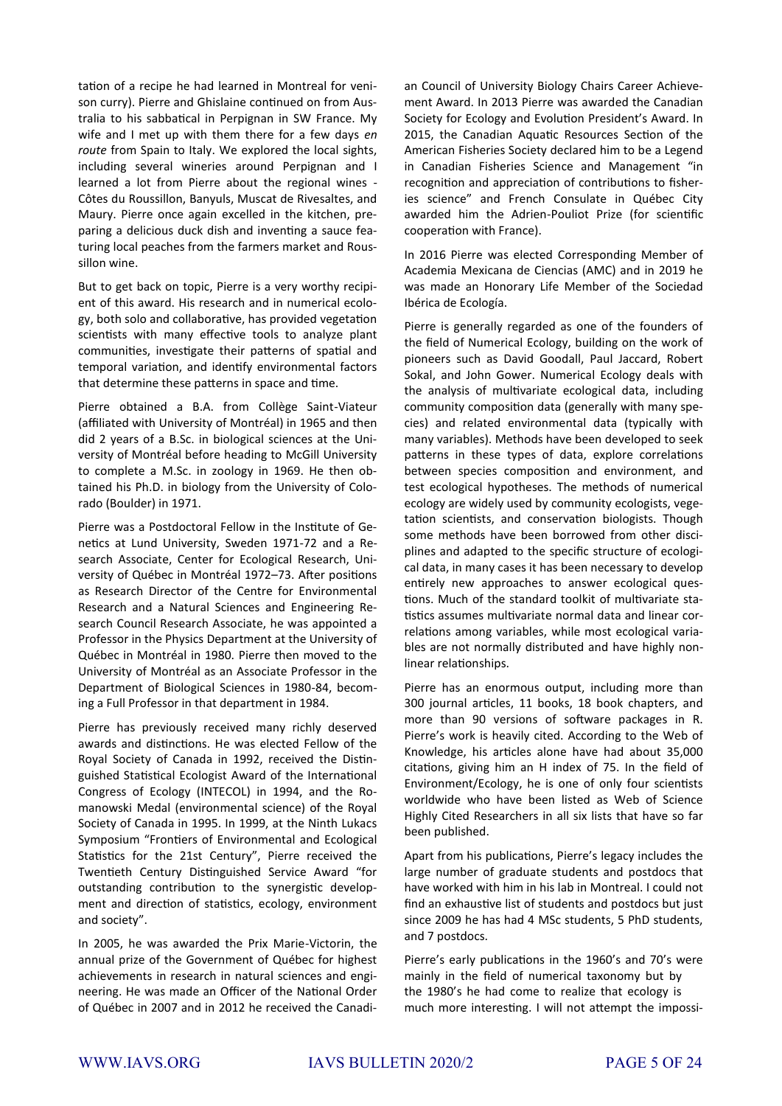tation of a recipe he had learned in Montreal for venison curry). Pierre and Ghislaine continued on from Australia to his sabbatical in Perpignan in SW France. My wife and I met up with them there for a few days *en route* from Spain to Italy. We explored the local sights, including several wineries around Perpignan and I learned a lot from Pierre about the regional wines - Côtes du Roussillon, Banyuls, Muscat de Rivesaltes, and Maury. Pierre once again excelled in the kitchen, preparing a delicious duck dish and inventing a sauce featuring local peaches from the farmers market and Roussillon wine.

But to get back on topic, Pierre is a very worthy recipient of this award. His research and in numerical ecology, both solo and collaborative, has provided vegetation scientists with many effective tools to analyze plant communities, investigate their patterns of spatial and temporal variation, and identify environmental factors that determine these patterns in space and time.

Pierre obtained a B.A. from Collège Saint-Viateur (affiliated with University of Montréal) in 1965 and then did 2 years of a B.Sc. in biological sciences at the University of Montréal before heading to McGill University to complete a M.Sc. in zoology in 1969. He then obtained his Ph.D. in biology from the University of Colorado (Boulder) in 1971.

Pierre was a Postdoctoral Fellow in the Institute of Genetics at Lund University, Sweden 1971-72 and a Research Associate, Center for Ecological Research, University of Québec in Montréal 1972–73. After positions as Research Director of the Centre for Environmental Research and a Natural Sciences and Engineering Research Council Research Associate, he was appointed a Professor in the Physics Department at the University of Québec in Montréal in 1980. Pierre then moved to the University of Montréal as an Associate Professor in the Department of Biological Sciences in 1980-84, becoming a Full Professor in that department in 1984.

Pierre has previously received many richly deserved awards and distinctions. He was elected Fellow of the Royal Society of Canada in 1992, received the Distinguished Statistical Ecologist Award of the International Congress of Ecology (INTECOL) in 1994, and the Romanowski Medal (environmental science) of the Royal Society of Canada in 1995. In 1999, at the Ninth Lukacs Symposium "Frontiers of Environmental and Ecological Statistics for the 21st Century", Pierre received the Twentieth Century Distinguished Service Award "for outstanding contribution to the synergistic development and direction of statistics, ecology, environment and society".

In 2005, he was awarded the Prix Marie-Victorin, the annual prize of the Government of Québec for highest achievements in research in natural sciences and engineering. He was made an Officer of the National Order of Québec in 2007 and in 2012 he received the Canadian Council of University Biology Chairs Career Achievement Award. In 2013 Pierre was awarded the Canadian Society for Ecology and Evolution President's Award. In 2015, the Canadian Aquatic Resources Section of the American Fisheries Society declared him to be a Legend in Canadian Fisheries Science and Management "in recognition and appreciation of contributions to fisheries science" and French Consulate in Québec City awarded him the Adrien-Pouliot Prize (for scientific cooperation with France).

In 2016 Pierre was elected Corresponding Member of Academia Mexicana de Ciencias (AMC) and in 2019 he was made an Honorary Life Member of the Sociedad Ibérica de Ecología.

Pierre is generally regarded as one of the founders of the field of Numerical Ecology, building on the work of pioneers such as David Goodall, Paul Jaccard, Robert Sokal, and John Gower. Numerical Ecology deals with the analysis of multivariate ecological data, including community composition data (generally with many species) and related environmental data (typically with many variables). Methods have been developed to seek patterns in these types of data, explore correlations between species composition and environment, and test ecological hypotheses. The methods of numerical ecology are widely used by community ecologists, vegetation scientists, and conservation biologists. Though some methods have been borrowed from other disciplines and adapted to the specific structure of ecological data, in many cases it has been necessary to develop entirely new approaches to answer ecological questions. Much of the standard toolkit of multivariate statistics assumes multivariate normal data and linear correlations among variables, while most ecological variables are not normally distributed and have highly nonlinear relationships.

Pierre has an enormous output, including more than 300 journal articles, 11 books, 18 book chapters, and more than 90 versions of software packages in R. Pierre's work is heavily cited. According to the Web of Knowledge, his articles alone have had about 35,000 citations, giving him an H index of 75. In the field of Environment/Ecology, he is one of only four scientists worldwide who have been listed as Web of Science Highly Cited Researchers in all six lists that have so far been published.

Apart from his publications, Pierre's legacy includes the large number of graduate students and postdocs that have worked with him in his lab in Montreal. I could not find an exhaustive list of students and postdocs but just since 2009 he has had 4 MSc students, 5 PhD students, and 7 postdocs.

Pierre's early publications in the 1960's and 70's were mainly in the field of numerical taxonomy but by the 1980's he had come to realize that ecology is much more interesting. I will not attempt the impossi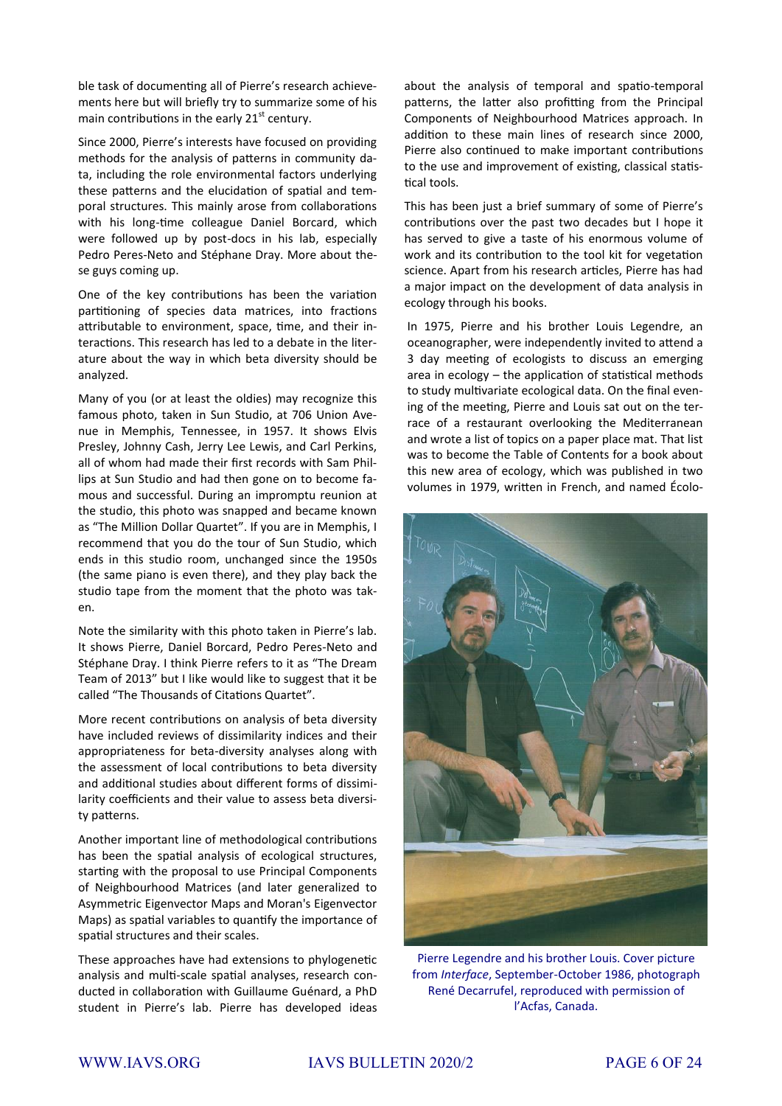ble task of documenting all of Pierre's research achievements here but will briefly try to summarize some of his main contributions in the early  $21<sup>st</sup>$  century.

Since 2000, Pierre's interests have focused on providing methods for the analysis of patterns in community data, including the role environmental factors underlying these patterns and the elucidation of spatial and temporal structures. This mainly arose from collaborations with his long-time colleague Daniel Borcard, which were followed up by post-docs in his lab, especially Pedro Peres-Neto and Stéphane Dray. More about these guys coming up.

One of the key contributions has been the variation partitioning of species data matrices, into fractions attributable to environment, space, time, and their interactions. This research has led to a debate in the literature about the way in which beta diversity should be analyzed.

Many of you (or at least the oldies) may recognize this famous photo, taken in Sun Studio, at 706 Union Avenue in Memphis, Tennessee, in 1957. It shows Elvis Presley, Johnny Cash, Jerry Lee Lewis, and Carl Perkins, all of whom had made their first records with Sam Phillips at Sun Studio and had then gone on to become famous and successful. During an impromptu reunion at the studio, this photo was snapped and became known as "The Million Dollar Quartet". If you are in Memphis, I recommend that you do the tour of Sun Studio, which ends in this studio room, unchanged since the 1950s (the same piano is even there), and they play back the studio tape from the moment that the photo was taken.

Note the similarity with this photo taken in Pierre's lab. It shows Pierre, Daniel Borcard, Pedro Peres-Neto and Stéphane Dray. I think Pierre refers to it as "The Dream Team of 2013" but I like would like to suggest that it be called "The Thousands of Citations Quartet".

More recent contributions on analysis of beta diversity have included reviews of dissimilarity indices and their appropriateness for beta-diversity analyses along with the assessment of local contributions to beta diversity and additional studies about different forms of dissimilarity coefficients and their value to assess beta diversity patterns.

Another important line of methodological contributions has been the spatial analysis of ecological structures, starting with the proposal to use Principal Components of Neighbourhood Matrices (and later generalized to Asymmetric Eigenvector Maps and Moran's Eigenvector Maps) as spatial variables to quantify the importance of spatial structures and their scales.

These approaches have had extensions to phylogenetic analysis and multi-scale spatial analyses, research conducted in collaboration with Guillaume Guénard, a PhD student in Pierre's lab. Pierre has developed ideas

about the analysis of temporal and spatio-temporal patterns, the latter also profitting from the Principal Components of Neighbourhood Matrices approach. In addition to these main lines of research since 2000, Pierre also continued to make important contributions to the use and improvement of existing, classical statistical tools.

This has been just a brief summary of some of Pierre's contributions over the past two decades but I hope it has served to give a taste of his enormous volume of work and its contribution to the tool kit for vegetation science. Apart from his research articles, Pierre has had a major impact on the development of data analysis in ecology through his books.

In 1975, Pierre and his brother Louis Legendre, an oceanographer, were independently invited to attend a 3 day meeting of ecologists to discuss an emerging area in ecology – the application of statistical methods to study multivariate ecological data. On the final evening of the meeting, Pierre and Louis sat out on the terrace of a restaurant overlooking the Mediterranean and wrote a list of topics on a paper place mat. That list was to become the Table of Contents for a book about this new area of ecology, which was published in two volumes in 1979, written in French, and named Écolo-



Pierre Legendre and his brother Louis. Cover picture from *Interface*, September-October 1986, photograph René Decarrufel, reproduced with permission of l'Acfas, Canada.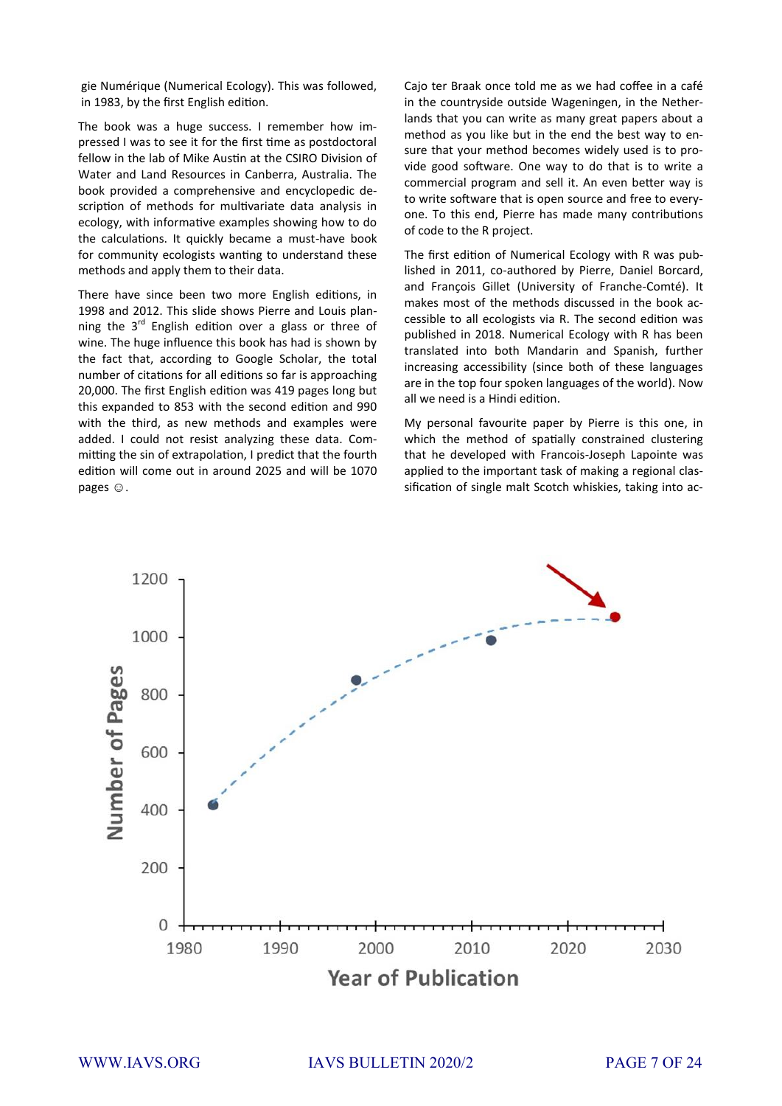gie Numérique (Numerical Ecology). This was followed, in 1983, by the first English edition.

The book was a huge success. I remember how impressed I was to see it for the first time as postdoctoral fellow in the lab of Mike Austin at the CSIRO Division of Water and Land Resources in Canberra, Australia. The book provided a comprehensive and encyclopedic description of methods for multivariate data analysis in ecology, with informative examples showing how to do the calculations. It quickly became a must-have book for community ecologists wanting to understand these methods and apply them to their data.

There have since been two more English editions, in 1998 and 2012. This slide shows Pierre and Louis planning the  $3^{rd}$  English edition over a glass or three of wine. The huge influence this book has had is shown by the fact that, according to Google Scholar, the total number of citations for all editions so far is approaching 20,000. The first English edition was 419 pages long but this expanded to 853 with the second edition and 990 with the third, as new methods and examples were added. I could not resist analyzing these data. Committing the sin of extrapolation, I predict that the fourth edition will come out in around 2025 and will be 1070 pages  $\odot$ .

Cajo ter Braak once told me as we had coffee in a café in the countryside outside Wageningen, in the Netherlands that you can write as many great papers about a method as you like but in the end the best way to ensure that your method becomes widely used is to provide good software. One way to do that is to write a commercial program and sell it. An even better way is to write software that is open source and free to everyone. To this end, Pierre has made many contributions of code to the R project.

The first edition of Numerical Ecology with R was published in 2011, co-authored by Pierre, Daniel Borcard, and François Gillet (University of Franche-Comté). It makes most of the methods discussed in the book accessible to all ecologists via R. The second edition was published in 2018. Numerical Ecology with R has been translated into both Mandarin and Spanish, further increasing accessibility (since both of these languages are in the top four spoken languages of the world). Now all we need is a Hindi edition.

My personal favourite paper by Pierre is this one, in which the method of spatially constrained clustering that he developed with Francois-Joseph Lapointe was applied to the important task of making a regional classification of single malt Scotch whiskies, taking into ac-